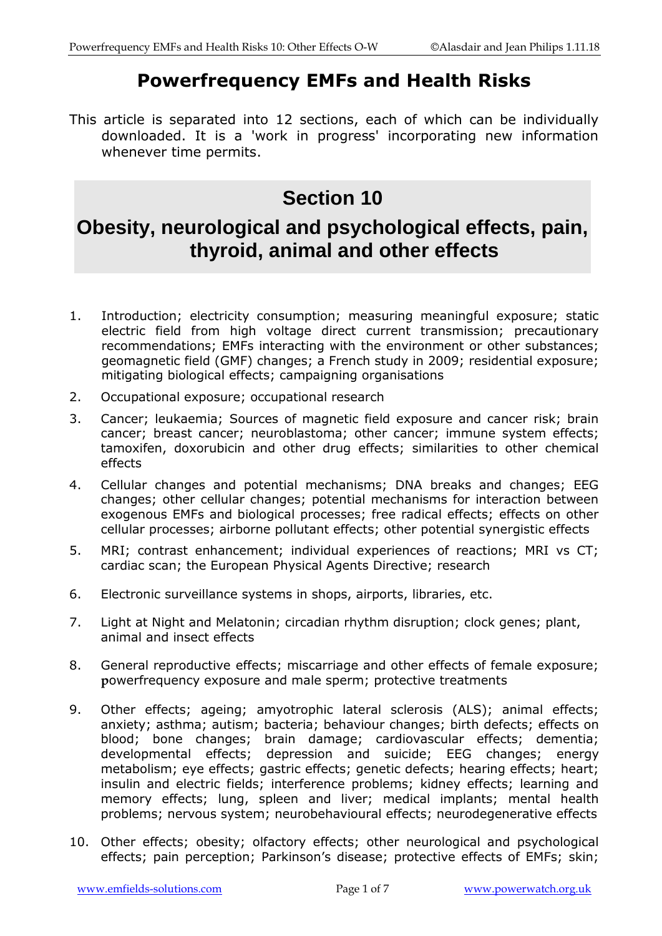# **Powerfrequency EMFs and Health Risks**

This article is separated into 12 sections, each of which can be individually downloaded. It is a 'work in progress' incorporating new information whenever time permits.

# **Section 10**

# **Obesity, neurological and psychological effects, pain, thyroid, animal and other effects**

- 1. Introduction; electricity consumption; measuring meaningful exposure; static electric field from high voltage direct current transmission; precautionary recommendations; EMFs interacting with the environment or other substances; geomagnetic field (GMF) changes; a French study in 2009; residential exposure; mitigating biological effects; campaigning organisations
- 2. Occupational exposure; occupational research
- 3. Cancer; leukaemia; Sources of magnetic field exposure and cancer risk; brain cancer; breast cancer; neuroblastoma; other cancer; immune system effects; tamoxifen, doxorubicin and other drug effects; similarities to other chemical effects
- 4. Cellular changes and potential mechanisms; DNA breaks and changes; EEG changes; other cellular changes; potential mechanisms for interaction between exogenous EMFs and biological processes; free radical effects; effects on other cellular processes; airborne pollutant effects; other potential synergistic effects
- 5. MRI; contrast enhancement; individual experiences of reactions; MRI vs CT; cardiac scan; the European Physical Agents Directive; research
- 6. Electronic surveillance systems in shops, airports, libraries, etc.
- 7. Light at Night and Melatonin; circadian rhythm disruption; clock genes; plant, animal and insect effects
- 8. General reproductive effects; miscarriage and other effects of female exposure; **p**owerfrequency exposure and male sperm; protective treatments
- 9. Other effects; ageing; amyotrophic lateral sclerosis (ALS); animal effects; anxiety; asthma; autism; bacteria; behaviour changes; birth defects; effects on blood; bone changes; brain damage; cardiovascular effects; dementia; developmental effects; depression and suicide; EEG changes; energy metabolism; eye effects; gastric effects; genetic defects; hearing effects; heart; insulin and electric fields; interference problems; kidney effects; learning and memory effects; lung, spleen and liver; medical implants; mental health problems; nervous system; neurobehavioural effects; neurodegenerative effects
- 10. Other effects; obesity; olfactory effects; other neurological and psychological effects; pain perception; Parkinson's disease; protective effects of EMFs; skin;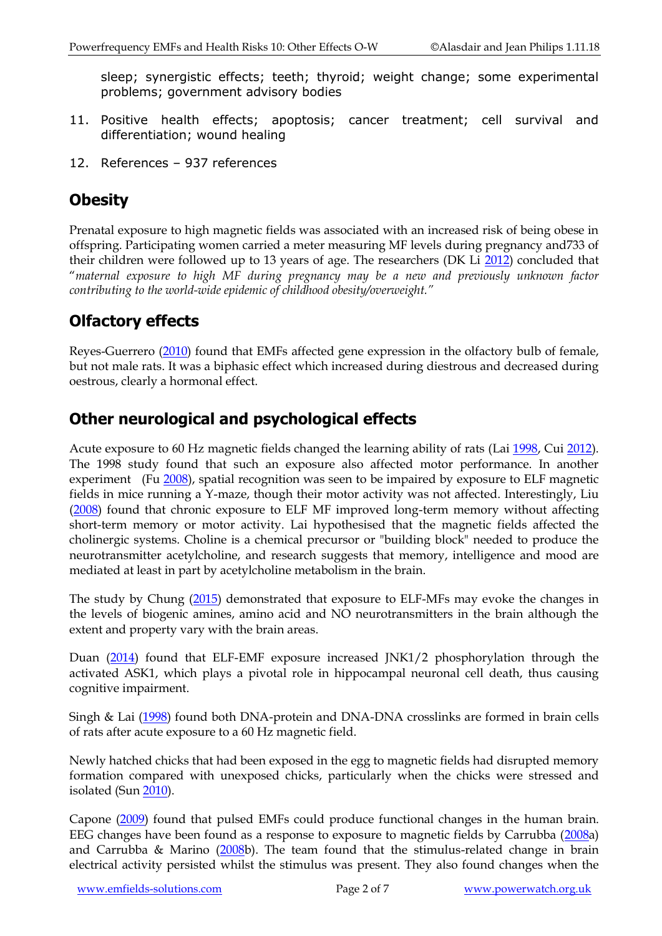sleep; synergistic effects; teeth; thyroid; weight change; some experimental problems; government advisory bodies

- 11. Positive health effects; apoptosis; cancer treatment; cell survival and differentiation; wound healing
- 12. References 937 references

## **Obesity**

Prenatal exposure to high magnetic fields was associated with an increased risk of being obese in offspring. Participating women carried a meter measuring MF levels during pregnancy and733 of their children were followed up to 13 years of age. The researchers (DK Li [2012\)](http://www.ncbi.nlm.nih.gov/pubmed/22844581) concluded that "*maternal exposure to high MF during pregnancy may be a new and previously unknown factor contributing to the world-wide epidemic of childhood obesity/overweight."*

# **Olfactory effects**

Reyes-Guerrero [\(2010\)](http://www.ncbi.nlm.nih.gov/pubmed/20085801) found that EMFs affected gene expression in the olfactory bulb of female, but not male rats. It was a biphasic effect which increased during diestrous and decreased during oestrous, clearly a hormonal effect.

## **Other neurological and psychological effects**

Acute exposure to 60 Hz magnetic fields changed the learning ability of rats (Lai [1998,](http://www.ncbi.nlm.nih.gov/sites/entrez?Db=pubmed&Cmd=ShowDetailView&TermToSearch=9492169&ordinalpos=12&itool=EntrezSystem2.PEntrez.Pubmed.Pubmed_ResultsPanel.Pubmed_RVDocSum) Cui [2012\)](http://www.ncbi.nlm.nih.gov/pubmed/22570685). The 1998 study found that such an exposure also affected motor performance. In another experiment (Fu [2008\)](http://www.ncbi.nlm.nih.gov/pubmed/18346171), spatial recognition was seen to be impaired by exposure to ELF magnetic fields in mice running a Y-maze, though their motor activity was not affected. Interestingly, Liu [\(2008\)](http://www.ncbi.nlm.nih.gov/pubmed/18388736) found that chronic exposure to ELF MF improved long-term memory without affecting short-term memory or motor activity. Lai hypothesised that the magnetic fields affected the cholinergic systems. Choline is a chemical precursor or "building block" needed to produce the neurotransmitter acetylcholine, and research suggests that memory, intelligence and mood are mediated at least in part by acetylcholine metabolism in the brain.

The study by Chung [\(2015\)](https://www.ncbi.nlm.nih.gov/pubmed/25605992) demonstrated that exposure to ELF-MFs may evoke the changes in the levels of biogenic amines, amino acid and NO neurotransmitters in the brain although the extent and property vary with the brain areas.

Duan [\(2014\)](http://www.ncbi.nlm.nih.gov/pubmed/25066354) found that ELF-EMF exposure increased JNK1/2 phosphorylation through the activated ASK1, which plays a pivotal role in hippocampal neuronal cell death, thus causing cognitive impairment.

Singh & Lai [\(1998\)](http://www.ncbi.nlm.nih.gov/pubmed/9685689) found both DNA-protein and DNA-DNA crosslinks are formed in brain cells of rats after acute exposure to a 60 Hz magnetic field.

Newly hatched chicks that had been exposed in the egg to magnetic fields had disrupted memory formation compared with unexposed chicks, particularly when the chicks were stressed and isolated (Sun [2010\)](http://www.ncbi.nlm.nih.gov/pubmed/19739132).

Capone [\(2009\)](http://www.ncbi.nlm.nih.gov/pubmed/19189041) found that pulsed EMFs could produce functional changes in the human brain. EEG changes have been found as a response to exposure to magnetic fields by Carrubba [\(2008a](http://www.ncbi.nlm.nih.gov/pubmed/18579211?ordinalpos=1&itool=EntrezSystem2.PEntrez.Pubmed.Pubmed_ResultsPanel.Pubmed_RVDocSum)) and Carrubba & Marino  $(2008b)$  $(2008b)$ . The team found that the stimulus-related change in brain electrical activity persisted whilst the stimulus was present. They also found changes when the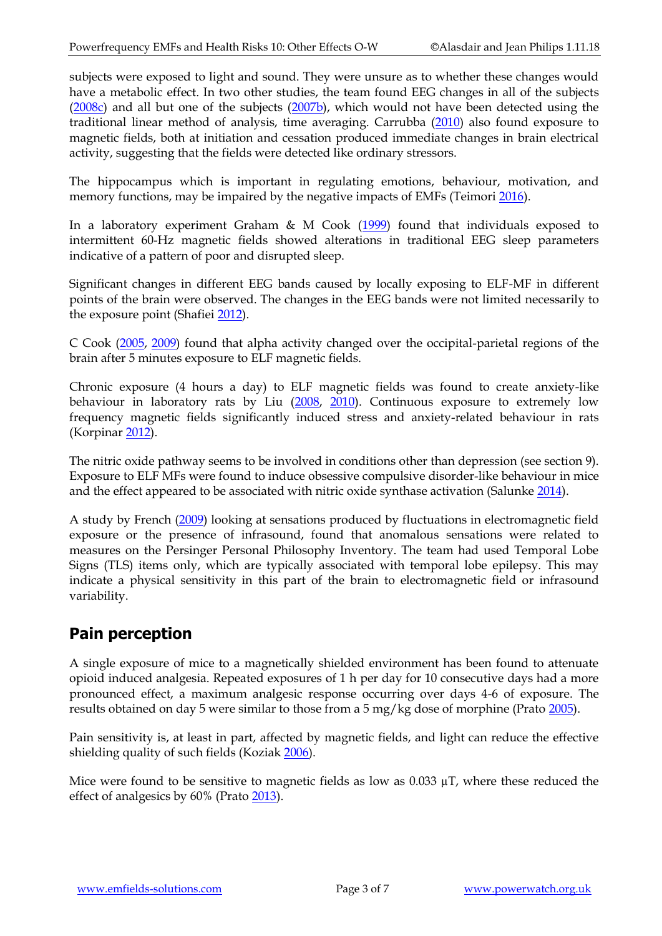subjects were exposed to light and sound. They were unsure as to whether these changes would have a metabolic effect. In two other studies, the team found EEG changes in all of the subjects [\(2008c\)](http://www.ncbi.nlm.nih.gov/pubmed/18036693?ordinalpos=2&itool=EntrezSystem2.PEntrez.Pubmed.Pubmed_ResultsPanel.Pubmed_RVDocSum) and all but one of the subjects [\(2007b\)](http://www.ncbi.nlm.nih.gov/pubmed/17069982?ordinalpos=2&itool=EntrezSystem2.PEntrez.Pubmed.Pubmed_ResultsPanel.Pubmed_RVDocSum), which would not have been detected using the traditional linear method of analysis, time averaging. Carrubba [\(2010\)](http://www.ncbi.nlm.nih.gov/pubmed/20634119) also found exposure to magnetic fields, both at initiation and cessation produced immediate changes in brain electrical activity, suggesting that the fields were detected like ordinary stressors.

The hippocampus which is important in regulating emotions, behaviour, motivation, and memory functions, may be impaired by the negative impacts of EMFs (Teimori [2016\)](https://www.ncbi.nlm.nih.gov/pubmed/27453795).

In a laboratory experiment Graham & M Cook [\(1999\)](http://www.ncbi.nlm.nih.gov/sites/entrez?Db=pubmed&Cmd=ShowDetailView&TermToSearch=10407512&ordinalpos=11&itool=EntrezSystem2.PEntrez.Pubmed.Pubmed_ResultsPanel.Pubmed_RVDocSum) found that individuals exposed to intermittent 60-Hz magnetic fields showed alterations in traditional EEG sleep parameters indicative of a pattern of poor and disrupted sleep.

Significant changes in different EEG bands caused by locally exposing to ELF-MF in different points of the brain were observed. The changes in the EEG bands were not limited necessarily to the exposure point (Shafiei [2012\)](http://www.ncbi.nlm.nih.gov/pubmed/22268824).

C Cook [\(2005,](http://www.ncbi.nlm.nih.gov/pubmed/15887255) [2009\)](http://www.ncbi.nlm.nih.gov/pubmed/18663700) found that alpha activity changed over the occipital-parietal regions of the brain after 5 minutes exposure to ELF magnetic fields.

Chronic exposure (4 hours a day) to ELF magnetic fields was found to create anxiety-like behaviour in laboratory rats by Liu [\(2008,](http://www.ncbi.nlm.nih.gov/pubmed/18258364?ordinalpos=1&itool=EntrezSystem2.PEntrez.Pubmed.Pubmed_ResultsPanel.Pubmed_RVDocSum) [2010\)](http://www.ncbi.nlm.nih.gov/pubmed/20559415). Continuous exposure to extremely low frequency magnetic fields significantly induced stress and anxiety-related behaviour in rats (Korpinar [2012\)](http://www.ncbi.nlm.nih.gov/pubmed/22979905).

The nitric oxide pathway seems to be involved in conditions other than depression (see section 9). Exposure to ELF MFs were found to induce obsessive compulsive disorder-like behaviour in mice and the effect appeared to be associated with nitric oxide synthase activation (Salunke [2014\)](http://www.ncbi.nlm.nih.gov/pubmed/24780504).

A study by French [\(2009\)](http://www.ncbi.nlm.nih.gov/pubmed/18635163) looking at sensations produced by fluctuations in electromagnetic field exposure or the presence of infrasound, found that anomalous sensations were related to measures on the Persinger Personal Philosophy Inventory. The team had used Temporal Lobe Signs (TLS) items only, which are typically associated with temporal lobe epilepsy. This may indicate a physical sensitivity in this part of the brain to electromagnetic field or infrasound variability.

## **Pain perception**

A single exposure of mice to a magnetically shielded environment has been found to attenuate opioid induced analgesia. Repeated exposures of 1 h per day for 10 consecutive days had a more pronounced effect, a maximum analgesic response occurring over days 4-6 of exposure. The results obtained on day 5 were similar to those from a 5 mg/kg dose of morphine (Prato [2005\)](http://www.ncbi.nlm.nih.gov/pubmed/15672364).

Pain sensitivity is, at least in part, affected by magnetic fields, and light can reduce the effective shielding quality of such fields (Koziak [2006\)](http://www.ncbi.nlm.nih.gov/pubmed/16283641).

Mice were found to be sensitive to magnetic fields as low as  $0.033 \mu$ T, where these reduced the effect of analgesics by 60% (Prato [2013\)](http://www.ncbi.nlm.nih.gov/pubmed/23365198).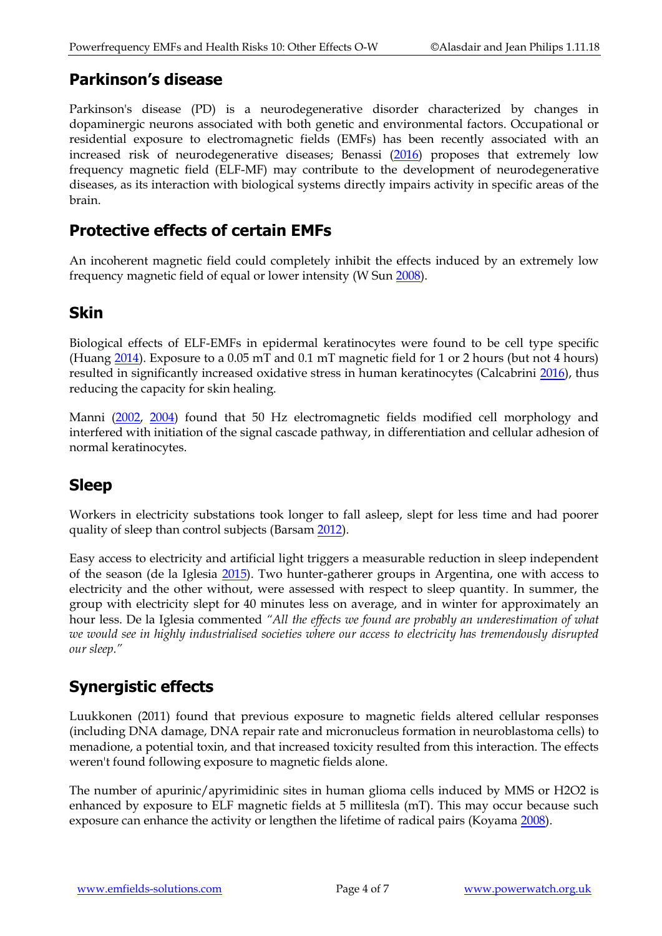#### **Parkinson's disease**

Parkinson's disease (PD) is a neurodegenerative disorder characterized by changes in dopaminergic neurons associated with both genetic and environmental factors. Occupational or residential exposure to electromagnetic fields (EMFs) has been recently associated with an increased risk of neurodegenerative diseases; Benassi [\(2016\)](https://www.ncbi.nlm.nih.gov/pubmed/26223801) proposes that extremely low frequency magnetic field (ELF-MF) may contribute to the development of neurodegenerative diseases, as its interaction with biological systems directly impairs activity in specific areas of the brain.

#### **Protective effects of certain EMFs**

An incoherent magnetic field could completely inhibit the effects induced by an extremely low frequency magnetic field of equal or lower intensity (W Sun [2008\)](http://www.ncbi.nlm.nih.gov/pubmed/19088432).

#### **Skin**

Biological effects of ELF-EMFs in epidermal keratinocytes were found to be cell type specific (Huang [2014\)](http://www.ncbi.nlm.nih.gov/pubmed/25409520). Exposure to a 0.05 mT and 0.1 mT magnetic field for 1 or 2 hours (but not 4 hours) resulted in significantly increased oxidative stress in human keratinocytes (Calcabrini [2016\)](https://www.ncbi.nlm.nih.gov/pubmed/27001710), thus reducing the capacity for skin healing.

Manni [\(2002,](https://www.ncbi.nlm.nih.gov/pubmed/11948610) [2004\)](https://www.ncbi.nlm.nih.gov/pubmed/14735562) found that 50 Hz electromagnetic fields modified cell morphology and interfered with initiation of the signal cascade pathway, in differentiation and cellular adhesion of normal keratinocytes.

#### **Sleep**

Workers in electricity substations took longer to fall asleep, slept for less time and had poorer quality of sleep than control subjects (Barsam [2012\)](http://www.ncbi.nlm.nih.gov/pubmed/23369281).

Easy access to electricity and artificial light triggers a measurable reduction in sleep independent of the season (de la Iglesia [2015\)](http://www.ncbi.nlm.nih.gov/pubmed/26092820). Two hunter-gatherer groups in Argentina, one with access to electricity and the other without, were assessed with respect to sleep quantity. In summer, the group with electricity slept for 40 minutes less on average, and in winter for approximately an hour less. De la Iglesia commented *"All the effects we found are probably an underestimation of what we would see in highly industrialised societies where our access to electricity has tremendously disrupted our sleep."*

## **Synergistic effects**

Luukkonen (2011) found that previous exposure to magnetic fields altered cellular responses (including DNA damage, DNA repair rate and micronucleus formation in neuroblastoma cells) to menadione, a potential toxin, and that increased toxicity resulted from this interaction. The effects weren't found following exposure to magnetic fields alone.

The number of apurinic/apyrimidinic sites in human glioma cells induced by MMS or H2O2 is enhanced by exposure to ELF magnetic fields at 5 millitesla (mT). This may occur because such exposure can enhance the activity or lengthen the lifetime of radical pairs (Koyama [2008\)](http://www.ncbi.nlm.nih.gov/pubmed/17852556).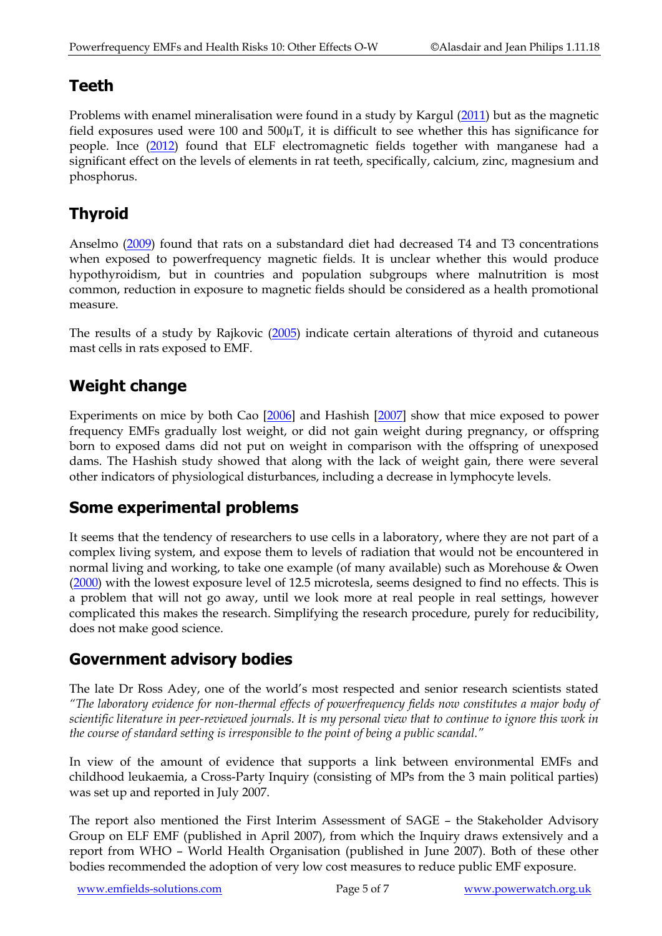#### **Teeth**

Problems with enamel mineralisation were found in a study by Kargul [\(2011\)](http://www.ncbi.nlm.nih.gov/pubmed?term=22185251) but as the magnetic field exposures used were 100 and  $500\mu$ T, it is difficult to see whether this has significance for people. Ince [\(2012\)](http://www.ncbi.nlm.nih.gov/pubmed/22913208) found that ELF electromagnetic fields together with manganese had a significant effect on the levels of elements in rat teeth, specifically, calcium, zinc, magnesium and phosphorus.

# **Thyroid**

Anselmo [\(2009\)](http://www.ncbi.nlm.nih.gov/pubmed/19675945) found that rats on a substandard diet had decreased T4 and T3 concentrations when exposed to powerfrequency magnetic fields. It is unclear whether this would produce hypothyroidism, but in countries and population subgroups where malnutrition is most common, reduction in exposure to magnetic fields should be considered as a health promotional measure.

The results of a study by Rajkovic [\(2005\)](http://www.ncbi.nlm.nih.gov/pubmed/16263652) indicate certain alterations of thyroid and cutaneous mast cells in rats exposed to EMF.

## **Weight change**

Experiments on mice by both Cao [\[2006\]](http://www.ncbi.nlm.nih.gov/sites/entrez?Db=pubmed&Cmd=ShowDetailView&TermToSearch=16978513&ordinalpos=1&itool=EntrezSystem2.PEntrez.Pubmed.Pubmed_ResultsPanel.Pubmed_RVDocSum) and Hashish [\[2007\]](http://www.ncbi.nlm.nih.gov/sites/entrez?Db=pubmed&Cmd=ShowDetailView&TermToSearch=17996303&ordinalpos=1&itool=EntrezSystem2.PEntrez.Pubmed.Pubmed_ResultsPanel.Pubmed_RVDocSum) show that mice exposed to power frequency EMFs gradually lost weight, or did not gain weight during pregnancy, or offspring born to exposed dams did not put on weight in comparison with the offspring of unexposed dams. The Hashish study showed that along with the lack of weight gain, there were several other indicators of physiological disturbances, including a decrease in lymphocyte levels.

#### **Some experimental problems**

It seems that the tendency of researchers to use cells in a laboratory, where they are not part of a complex living system, and expose them to levels of radiation that would not be encountered in normal living and working, to take one example (of many available) such as Morehouse & Owen [\(2000\)](http://www.ncbi.nlm.nih.gov/sites/entrez?Db=pubmed&Cmd=ShowDetailView&TermToSearch=10790290&ordinalpos=1&itool=EntrezSystem2.PEntrez.Pubmed.Pubmed_ResultsPanel.Pubmed_RVDocSum) with the lowest exposure level of 12.5 microtesla, seems designed to find no effects. This is a problem that will not go away, until we look more at real people in real settings, however complicated this makes the research. Simplifying the research procedure, purely for reducibility, does not make good science.

#### **Government advisory bodies**

The late Dr Ross Adey, one of the world's most respected and senior research scientists stated *"The laboratory evidence for non-thermal effects of powerfrequency fields now constitutes a major body of scientific literature in peer-reviewed journals. It is my personal view that to continue to ignore this work in the course of standard setting is irresponsible to the point of being a public scandal."*

In view of the amount of evidence that supports a link between environmental EMFs and childhood leukaemia, a Cross-Party Inquiry (consisting of MPs from the 3 main political parties) was set up and reported in July 2007.

The report also mentioned the First Interim Assessment of SAGE – the Stakeholder Advisory Group on ELF EMF (published in April 2007), from which the Inquiry draws extensively and a report from WHO – World Health Organisation (published in June 2007). Both of these other bodies recommended the adoption of very low cost measures to reduce public EMF exposure.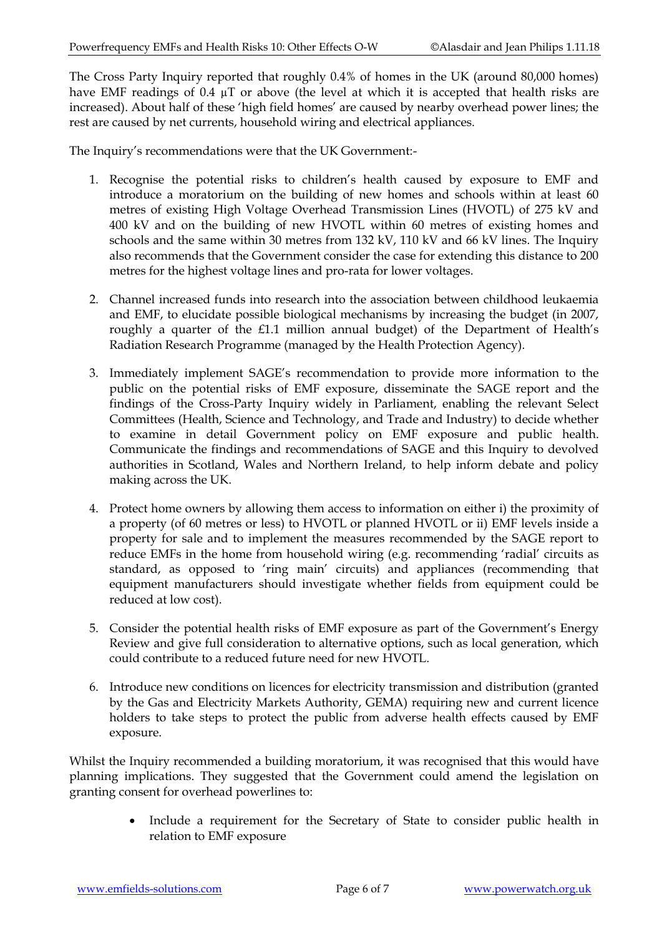The Cross Party Inquiry reported that roughly 0.4% of homes in the UK (around 80,000 homes) have EMF readings of 0.4  $\mu$ T or above (the level at which it is accepted that health risks are increased). About half of these 'high field homes' are caused by nearby overhead power lines; the rest are caused by net currents, household wiring and electrical appliances.

The Inquiry's recommendations were that the UK Government:-

- 1. Recognise the potential risks to children's health caused by exposure to EMF and introduce a moratorium on the building of new homes and schools within at least 60 metres of existing High Voltage Overhead Transmission Lines (HVOTL) of 275 kV and 400 kV and on the building of new HVOTL within 60 metres of existing homes and schools and the same within 30 metres from 132 kV, 110 kV and 66 kV lines. The Inquiry also recommends that the Government consider the case for extending this distance to 200 metres for the highest voltage lines and pro-rata for lower voltages.
- 2. Channel increased funds into research into the association between childhood leukaemia and EMF, to elucidate possible biological mechanisms by increasing the budget (in 2007, roughly a quarter of the £1.1 million annual budget) of the Department of Health's Radiation Research Programme (managed by the Health Protection Agency).
- 3. Immediately implement SAGE's recommendation to provide more information to the public on the potential risks of EMF exposure, disseminate the SAGE report and the findings of the Cross-Party Inquiry widely in Parliament, enabling the relevant Select Committees (Health, Science and Technology, and Trade and Industry) to decide whether to examine in detail Government policy on EMF exposure and public health. Communicate the findings and recommendations of SAGE and this Inquiry to devolved authorities in Scotland, Wales and Northern Ireland, to help inform debate and policy making across the UK.
- 4. Protect home owners by allowing them access to information on either i) the proximity of a property (of 60 metres or less) to HVOTL or planned HVOTL or ii) EMF levels inside a property for sale and to implement the measures recommended by the SAGE report to reduce EMFs in the home from household wiring (e.g. recommending 'radial' circuits as standard, as opposed to 'ring main' circuits) and appliances (recommending that equipment manufacturers should investigate whether fields from equipment could be reduced at low cost).
- 5. Consider the potential health risks of EMF exposure as part of the Government's Energy Review and give full consideration to alternative options, such as local generation, which could contribute to a reduced future need for new HVOTL.
- 6. Introduce new conditions on licences for electricity transmission and distribution (granted by the Gas and Electricity Markets Authority, GEMA) requiring new and current licence holders to take steps to protect the public from adverse health effects caused by EMF exposure.

Whilst the Inquiry recommended a building moratorium, it was recognised that this would have planning implications. They suggested that the Government could amend the legislation on granting consent for overhead powerlines to:

> Include a requirement for the Secretary of State to consider public health in relation to EMF exposure